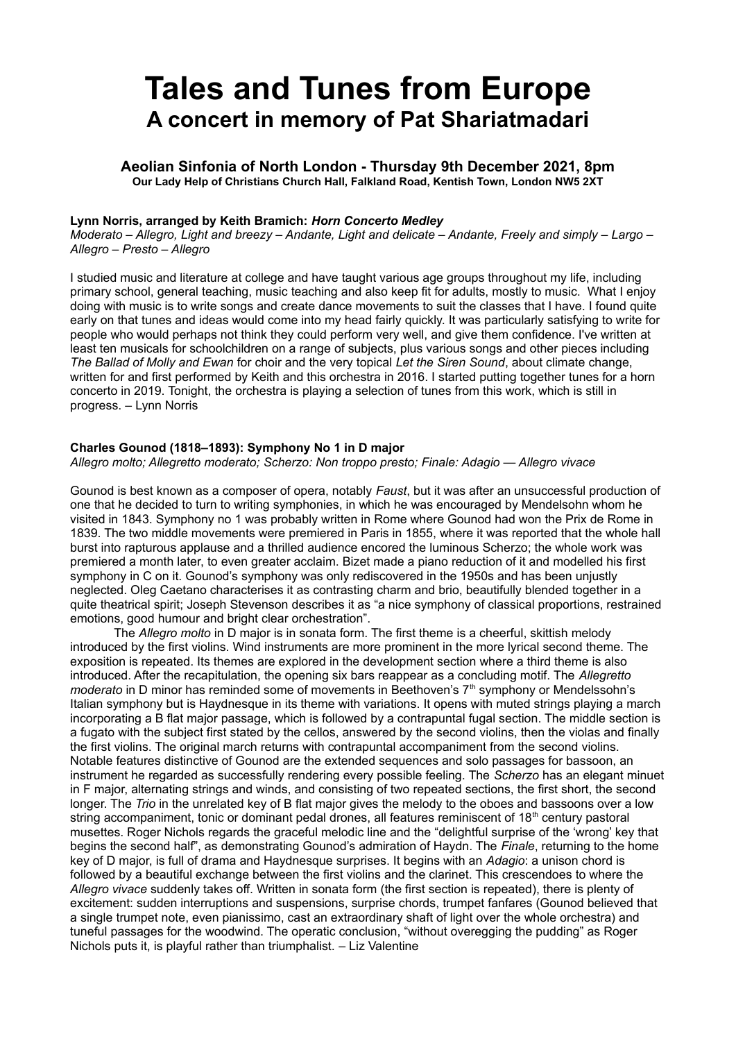# **Tales and Tunes from Europe A concert in memory of Pat Shariatmadari**

**Aeolian Sinfonia of North London - Thursday 9th December 2021, 8pm Our Lady Help of Christians Church Hall, Falkland Road, Kentish Town, London NW5 2XT**

#### **Lynn Norris, arranged by Keith Bramich:** *Horn Concerto Medley*

*Moderato – Allegro, Light and breezy – Andante, Light and delicate – Andante, Freely and simply – Largo – Allegro – Presto – Allegro*

I studied music and literature at college and have taught various age groups throughout my life, including primary school, general teaching, music teaching and also keep fit for adults, mostly to music. What I enjoy doing with music is to write songs and create dance movements to suit the classes that I have. I found quite early on that tunes and ideas would come into my head fairly quickly. It was particularly satisfying to write for people who would perhaps not think they could perform very well, and give them confidence. I've written at least ten musicals for schoolchildren on a range of subjects, plus various songs and other pieces including *The Ballad of Molly and Ewan* for choir and the very topical *Let the Siren Sound*, about climate change, written for and first performed by Keith and this orchestra in 2016. I started putting together tunes for a horn concerto in 2019. Tonight, the orchestra is playing a selection of tunes from this work, which is still in progress. *–* Lynn Norris

#### **Charles Gounod (1818‒1893): Symphony No 1 in D major**

*Allegro molto; Allegretto moderato; Scherzo: Non troppo presto; Finale: Adagio — Allegro vivace*

Gounod is best known as a composer of opera, notably *Faust*, but it was after an unsuccessful production of one that he decided to turn to writing symphonies, in which he was encouraged by Mendelsohn whom he visited in 1843. Symphony no 1 was probably written in Rome where Gounod had won the Prix de Rome in 1839. The two middle movements were premiered in Paris in 1855, where it was reported that the whole hall burst into rapturous applause and a thrilled audience encored the luminous Scherzo; the whole work was premiered a month later, to even greater acclaim. Bizet made a piano reduction of it and modelled his first symphony in C on it. Gounod's symphony was only rediscovered in the 1950s and has been unjustly neglected. Oleg Caetano characterises it as contrasting charm and brio, beautifully blended together in a quite theatrical spirit; Joseph Stevenson describes it as "a nice symphony of classical proportions, restrained emotions, good humour and bright clear orchestration".

The *Allegro molto* in D major is in sonata form. The first theme is a cheerful, skittish melody introduced by the first violins. Wind instruments are more prominent in the more lyrical second theme. The exposition is repeated. Its themes are explored in the development section where a third theme is also introduced. After the recapitulation, the opening six bars reappear as a concluding motif. The *Allegretto moderato* in D minor has reminded some of movements in Beethoven's 7<sup>th</sup> symphony or Mendelssohn's Italian symphony but is Haydnesque in its theme with variations. It opens with muted strings playing a march incorporating a B flat major passage, which is followed by a contrapuntal fugal section. The middle section is a fugato with the subject first stated by the cellos, answered by the second violins, then the violas and finally the first violins. The original march returns with contrapuntal accompaniment from the second violins. Notable features distinctive of Gounod are the extended sequences and solo passages for bassoon, an instrument he regarded as successfully rendering every possible feeling. The *Scherzo* has an elegant minuet in F major, alternating strings and winds, and consisting of two repeated sections, the first short, the second longer. The *Trio* in the unrelated key of B flat major gives the melody to the oboes and bassoons over a low string accompaniment, tonic or dominant pedal drones, all features reminiscent of 18<sup>th</sup> century pastoral musettes. Roger Nichols regards the graceful melodic line and the "delightful surprise of the 'wrong' key that begins the second half", as demonstrating Gounod's admiration of Haydn. The *Finale*, returning to the home key of D major, is full of drama and Haydnesque surprises. It begins with an *Adagio*: a unison chord is followed by a beautiful exchange between the first violins and the clarinet. This crescendoes to where the *Allegro vivace* suddenly takes off. Written in sonata form (the first section is repeated), there is plenty of excitement: sudden interruptions and suspensions, surprise chords, trumpet fanfares (Gounod believed that a single trumpet note, even pianissimo, cast an extraordinary shaft of light over the whole orchestra) and tuneful passages for the woodwind. The operatic conclusion, "without overegging the pudding" as Roger Nichols puts it, is playful rather than triumphalist. *–* Liz Valentine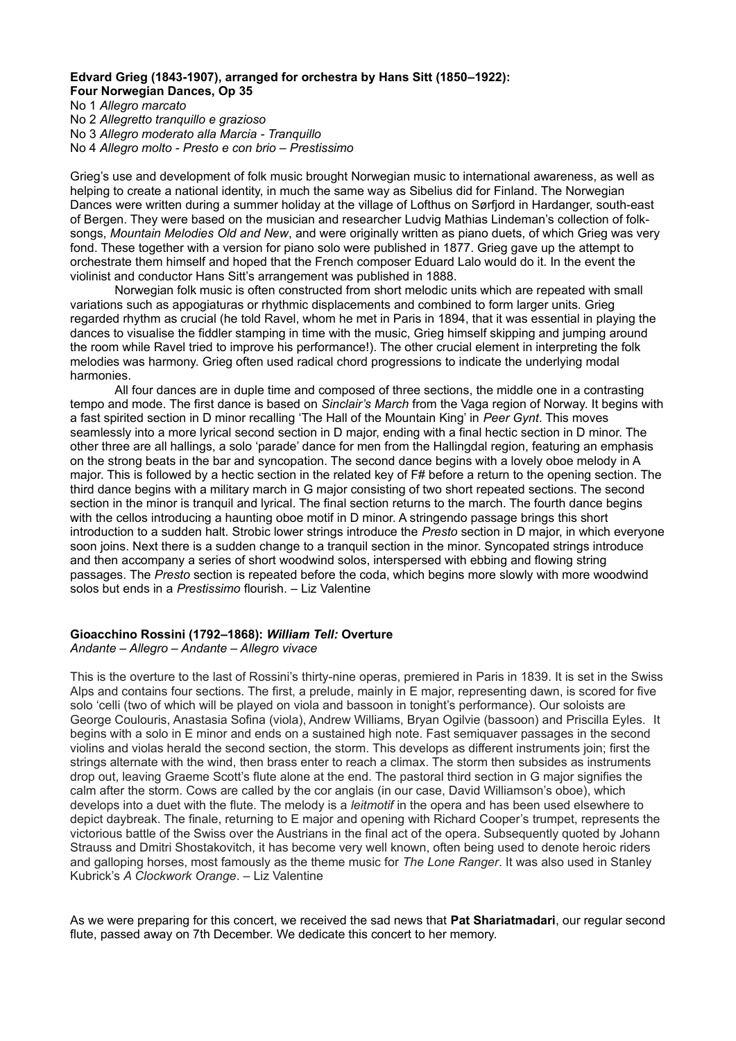### Edvard Grieg (1843-1907), arranged for orchestra by Hans Sitt (1850–1922): **Four Norwegian Dances, Op 35**

No 1 *Allegro marcato*  No 2 *Allegretto tranquillo e grazioso*  No 3 *Allegro moderato alla Marcia - Tranquillo* No 4 *Allegro molto - Presto e con brio – Prestissimo*

Grieg's use and development of folk music brought Norwegian music to international awareness, as well as helping to create a national identity, in much the same way as Sibelius did for Finland. The Norwegian Dances were written during a summer holiday at the village of Lofthus on Sørfjord in Hardanger, south-east of Bergen. They were based on the musician and researcher Ludvig Mathias Lindeman's collection of folksongs, *Mountain Melodies Old and New*, and were originally written as piano duets, of which Grieg was very fond. These together with a version for piano solo were published in 1877. Grieg gave up the attempt to orchestrate them himself and hoped that the French composer Eduard Lalo would do it. In the event the violinist and conductor Hans Sitt's arrangement was published in 1888.

Norwegian folk music is often constructed from short melodic units which are repeated with small variations such as appogiaturas or rhythmic displacements and combined to form larger units. Grieg regarded rhythm as crucial (he told Ravel, whom he met in Paris in 1894, that it was essential in playing the dances to visualise the fiddler stamping in time with the music, Grieg himself skipping and jumping around the room while Ravel tried to improve his performance!). The other crucial element in interpreting the folk melodies was harmony. Grieg often used radical chord progressions to indicate the underlying modal harmonies.

All four dances are in duple time and composed of three sections, the middle one in a contrasting tempo and mode. The first dance is based on *Sinclair's March* from the Vaga region of Norway. It begins with a fast spirited section in D minor recalling 'The Hall of the Mountain King' in *Peer Gynt*. This moves seamlessly into a more lyrical second section in D major, ending with a final hectic section in D minor. The other three are all hallings, a solo 'parade' dance for men from the Hallingdal region, featuring an emphasis on the strong beats in the bar and syncopation. The second dance begins with a lovely oboe melody in A major. This is followed by a hectic section in the related key of F# before a return to the opening section. The third dance begins with a military march in G major consisting of two short repeated sections. The second section in the minor is tranquil and lyrical. The final section returns to the march. The fourth dance begins with the cellos introducing a haunting oboe motif in D minor. A stringendo passage brings this short introduction to a sudden halt. Strobic lower strings introduce the *Presto* section in D major, in which everyone soon joins. Next there is a sudden change to a tranquil section in the minor. Syncopated strings introduce and then accompany a series of short woodwind solos, interspersed with ebbing and flowing string passages. The *Presto* section is repeated before the coda, which begins more slowly with more woodwind solos but ends in a *Prestissimo* flourish. *–* Liz Valentine

## **Gioacchino Rossini (1792‒1868):** *William Tell:* **Overture**

*Andante – Allegro – Andante – Allegro vivace*

This is the overture to the last of Rossini's thirty-nine operas, premiered in Paris in 1839. It is set in the Swiss Alps and contains four sections. The first, a prelude, mainly in E major, representing dawn, is scored for five solo 'celli (two of which will be played on viola and bassoon in tonight's performance). Our soloists are George Coulouris, Anastasia Sofina (viola), Andrew Williams, Bryan Ogilvie (bassoon) and Priscilla Eyles. It begins with a solo in E minor and ends on a sustained high note. Fast semiquaver passages in the second violins and violas herald the second section, the storm. This develops as different instruments join; first the strings alternate with the wind, then brass enter to reach a climax. The storm then subsides as instruments drop out, leaving Graeme Scott's flute alone at the end. The pastoral third section in G major signifies the calm after the storm. Cows are called by the cor anglais (in our case, David Williamson's oboe), which develops into a duet with the flute. The melody is a *leitmotif* in the opera and has been used elsewhere to depict daybreak. The finale, returning to E major and opening with Richard Cooper's trumpet, represents the victorious battle of the Swiss over the Austrians in the final act of the opera. Subsequently quoted by Johann Strauss and Dmitri Shostakovitch, it has become very well known, often being used to denote heroic riders and galloping horses, most famously as the theme music for *The Lone Ranger*. It was also used in Stanley Kubrick's *A Clockwork Orange*. *–* Liz Valentine

As we were preparing for this concert, we received the sad news that **Pat Shariatmadari**, our regular second flute, passed away on 7th December. We dedicate this concert to her memory.